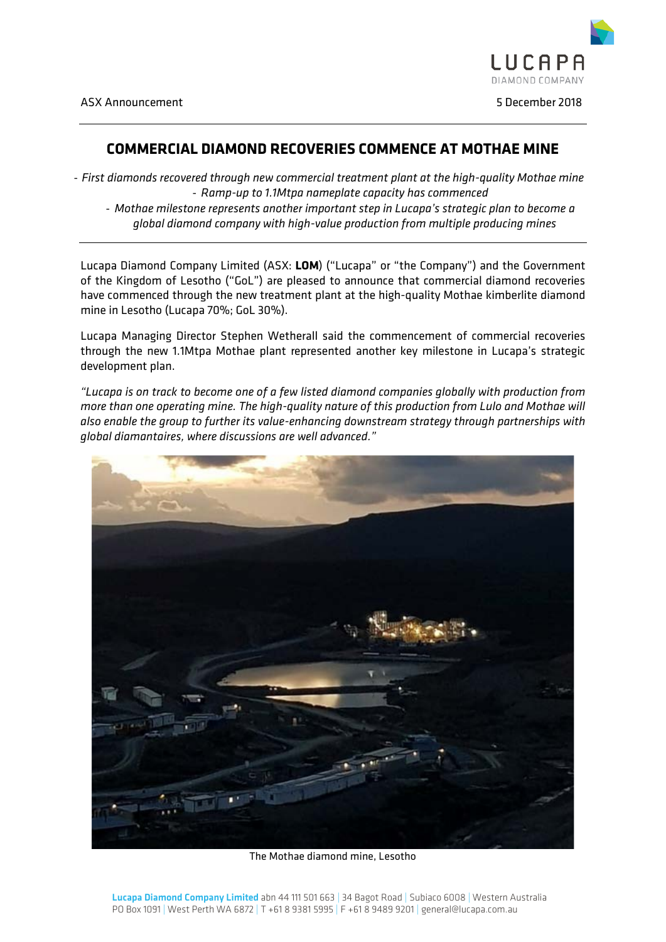

# **COMMERCIAL DIAMOND RECOVERIES COMMENCE AT MOTHAE MINE**

- *First diamonds recovered through new commercial treatment plant at the high-quality Mothae mine* - *Ramp-up to 1.1Mtpa nameplate capacity has commenced*

- *Mothae milestone represents another important step in Lucapa's strategic plan to become a global diamond company with high-value production from multiple producing mines*

Lucapa Diamond Company Limited (ASX: **LOM**) ("Lucapa" or "the Company") and the Government of the Kingdom of Lesotho ("GoL") are pleased to announce that commercial diamond recoveries have commenced through the new treatment plant at the high-quality Mothae kimberlite diamond mine in Lesotho (Lucapa 70%; GoL 30%).

Lucapa Managing Director Stephen Wetherall said the commencement of commercial recoveries through the new 1.1Mtpa Mothae plant represented another key milestone in Lucapa's strategic development plan.

*"Lucapa is on track to become one of a few listed diamond companies globally with production from more than one operating mine. The high-quality nature of this production from Lulo and Mothae will also enable the group to further its value-enhancing downstream strategy through partnerships with global diamantaires, where discussions are well advanced."*



The Mothae diamond mine, Lesotho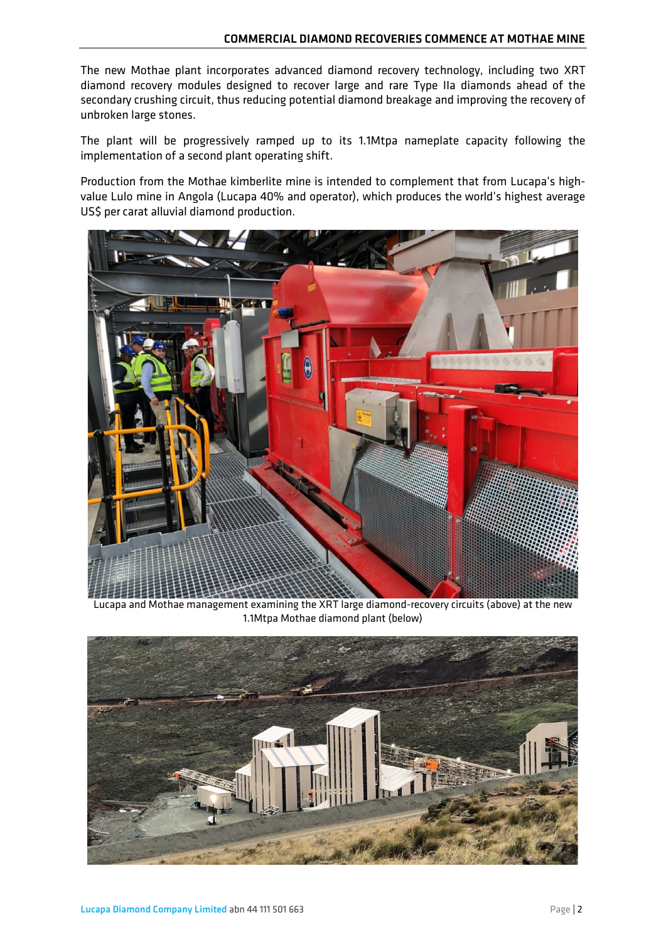The new Mothae plant incorporates advanced diamond recovery technology, including two XRT diamond recovery modules designed to recover large and rare Type IIa diamonds ahead of the secondary crushing circuit, thus reducing potential diamond breakage and improving the recovery of unbroken large stones.

The plant will be progressively ramped up to its 1.1Mtpa nameplate capacity following the implementation of a second plant operating shift.

Production from the Mothae kimberlite mine is intended to complement that from Lucapa's highvalue Lulo mine in Angola (Lucapa 40% and operator), which produces the world's highest average US\$ per carat alluvial diamond production.



Lucapa and Mothae management examining the XRT large diamond-recovery circuits (above) at the new 1.1Mtpa Mothae diamond plant (below)

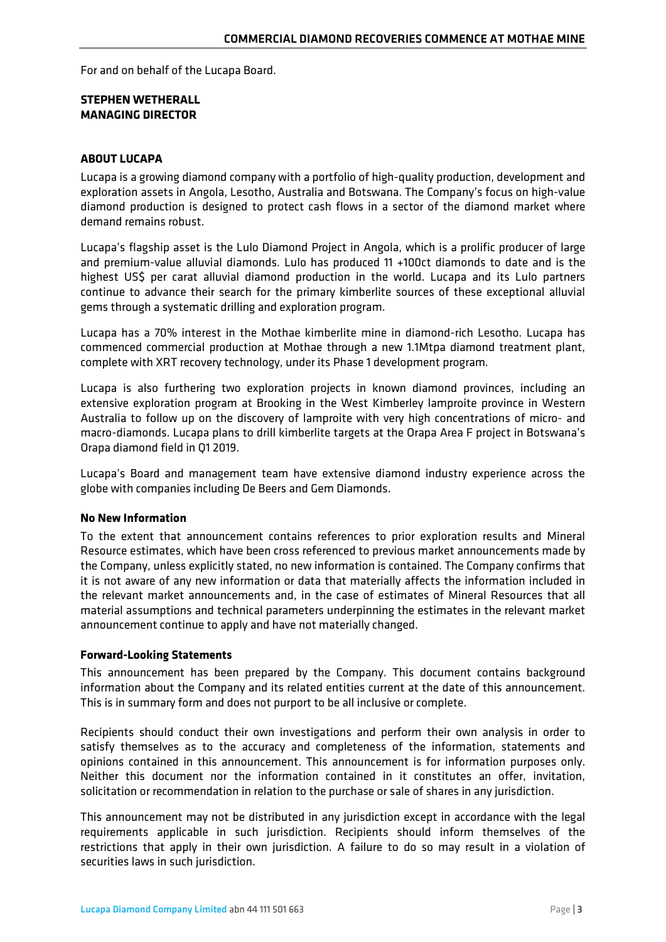For and on behalf of the Lucapa Board.

## **STEPHEN WETHERALL MANAGING DIRECTOR**

## **ABOUT LUCAPA**

Lucapa is a growing diamond company with a portfolio of high-quality production, development and exploration assets in Angola, Lesotho, Australia and Botswana. The Company's focus on high-value diamond production is designed to protect cash flows in a sector of the diamond market where demand remains robust.

Lucapa's flagship asset is the Lulo Diamond Project in Angola, which is a prolific producer of large and premium-value alluvial diamonds. Lulo has produced 11 +100ct diamonds to date and is the highest US\$ per carat alluvial diamond production in the world. Lucapa and its Lulo partners continue to advance their search for the primary kimberlite sources of these exceptional alluvial gems through a systematic drilling and exploration program.

Lucapa has a 70% interest in the Mothae kimberlite mine in diamond-rich Lesotho. Lucapa has commenced commercial production at Mothae through a new 1.1Mtpa diamond treatment plant, complete with XRT recovery technology, under its Phase 1 development program.

Lucapa is also furthering two exploration projects in known diamond provinces, including an extensive exploration program at Brooking in the West Kimberley lamproite province in Western Australia to follow up on the discovery of lamproite with very high concentrations of micro- and macro-diamonds. Lucapa plans to drill kimberlite targets at the Orapa Area F project in Botswana's Orapa diamond field in Q1 2019.

Lucapa's Board and management team have extensive diamond industry experience across the globe with companies including De Beers and Gem Diamonds.

### **No New Information**

To the extent that announcement contains references to prior exploration results and Mineral Resource estimates, which have been cross referenced to previous market announcements made by the Company, unless explicitly stated, no new information is contained. The Company confirms that it is not aware of any new information or data that materially affects the information included in the relevant market announcements and, in the case of estimates of Mineral Resources that all material assumptions and technical parameters underpinning the estimates in the relevant market announcement continue to apply and have not materially changed.

### **Forward-Looking Statements**

This announcement has been prepared by the Company. This document contains background information about the Company and its related entities current at the date of this announcement. This is in summary form and does not purport to be all inclusive or complete.

Recipients should conduct their own investigations and perform their own analysis in order to satisfy themselves as to the accuracy and completeness of the information, statements and opinions contained in this announcement. This announcement is for information purposes only. Neither this document nor the information contained in it constitutes an offer, invitation, solicitation or recommendation in relation to the purchase or sale of shares in any jurisdiction.

This announcement may not be distributed in any jurisdiction except in accordance with the legal requirements applicable in such jurisdiction. Recipients should inform themselves of the restrictions that apply in their own jurisdiction. A failure to do so may result in a violation of securities laws in such jurisdiction.